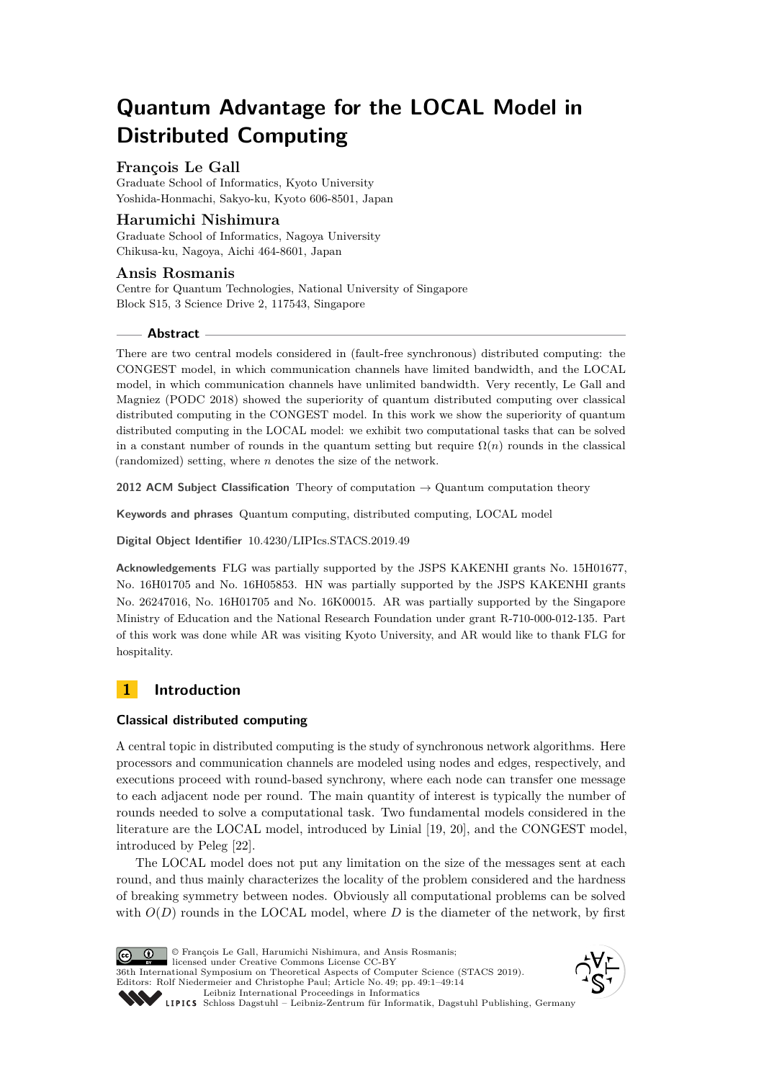# **Quantum Advantage for the LOCAL Model in Distributed Computing**

## **François Le Gall**

Graduate School of Informatics, Kyoto University Yoshida-Honmachi, Sakyo-ku, Kyoto 606-8501, Japan

## **Harumichi Nishimura**

Graduate School of Informatics, Nagoya University Chikusa-ku, Nagoya, Aichi 464-8601, Japan

## **Ansis Rosmanis**

Centre for Quantum Technologies, National University of Singapore Block S15, 3 Science Drive 2, 117543, Singapore

## **Abstract**

There are two central models considered in (fault-free synchronous) distributed computing: the CONGEST model, in which communication channels have limited bandwidth, and the LOCAL model, in which communication channels have unlimited bandwidth. Very recently, Le Gall and Magniez (PODC 2018) showed the superiority of quantum distributed computing over classical distributed computing in the CONGEST model. In this work we show the superiority of quantum distributed computing in the LOCAL model: we exhibit two computational tasks that can be solved in a constant number of rounds in the quantum setting but require  $\Omega(n)$  rounds in the classical (randomized) setting, where *n* denotes the size of the network.

**2012 ACM Subject Classification** Theory of computation → Quantum computation theory

**Keywords and phrases** Quantum computing, distributed computing, LOCAL model

**Digital Object Identifier** [10.4230/LIPIcs.STACS.2019.49](https://doi.org/10.4230/LIPIcs.STACS.2019.49)

**Acknowledgements** FLG was partially supported by the JSPS KAKENHI grants No. 15H01677, No. 16H01705 and No. 16H05853. HN was partially supported by the JSPS KAKENHI grants No. 26247016, No. 16H01705 and No. 16K00015. AR was partially supported by the Singapore Ministry of Education and the National Research Foundation under grant R-710-000-012-135. Part of this work was done while AR was visiting Kyoto University, and AR would like to thank FLG for hospitality.

# **1 Introduction**

## **Classical distributed computing**

A central topic in distributed computing is the study of synchronous network algorithms. Here processors and communication channels are modeled using nodes and edges, respectively, and executions proceed with round-based synchrony, where each node can transfer one message to each adjacent node per round. The main quantity of interest is typically the number of rounds needed to solve a computational task. Two fundamental models considered in the literature are the LOCAL model, introduced by Linial [\[19,](#page-12-0) [20\]](#page-12-1), and the CONGEST model, introduced by Peleg [\[22\]](#page-12-2).

The LOCAL model does not put any limitation on the size of the messages sent at each round, and thus mainly characterizes the locality of the problem considered and the hardness of breaking symmetry between nodes. Obviously all computational problems can be solved with  $O(D)$  rounds in the LOCAL model, where  $D$  is the diameter of the network, by first

© François Le Gall, Harumichi Nishimura, and Ansis Rosmanis;  $\boxed{6}$   $\boxed{0}$ licensed under Creative Commons License CC-BY 36th International Symposium on Theoretical Aspects of Computer Science (STACS 2019). Editors: Rolf Niedermeier and Christophe Paul; Article No. 49; pp. 49:1–49[:14](#page-13-0) [Leibniz International Proceedings in Informatics](https://www.dagstuhl.de/lipics/) [Schloss Dagstuhl – Leibniz-Zentrum für Informatik, Dagstuhl Publishing, Germany](https://www.dagstuhl.de)

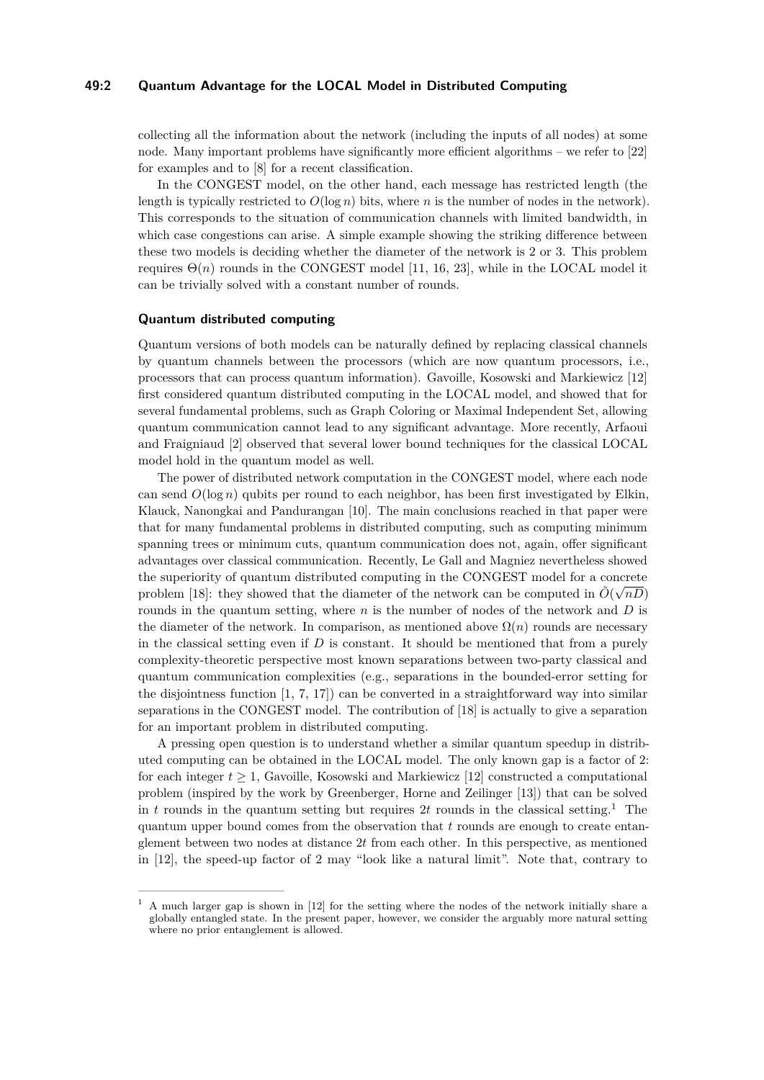## **49:2 Quantum Advantage for the LOCAL Model in Distributed Computing**

collecting all the information about the network (including the inputs of all nodes) at some node. Many important problems have significantly more efficient algorithms – we refer to [\[22\]](#page-12-2) for examples and to [\[8\]](#page-11-0) for a recent classification.

In the CONGEST model, on the other hand, each message has restricted length (the length is typically restricted to  $O(\log n)$  bits, where *n* is the number of nodes in the network). This corresponds to the situation of communication channels with limited bandwidth, in which case congestions can arise. A simple example showing the striking difference between these two models is deciding whether the diameter of the network is 2 or 3. This problem requires  $\Theta(n)$  rounds in the CONGEST model [\[11,](#page-11-1) [16,](#page-11-2) [23\]](#page-12-3), while in the LOCAL model it can be trivially solved with a constant number of rounds.

### **Quantum distributed computing**

Quantum versions of both models can be naturally defined by replacing classical channels by quantum channels between the processors (which are now quantum processors, i.e., processors that can process quantum information). Gavoille, Kosowski and Markiewicz [\[12\]](#page-11-3) first considered quantum distributed computing in the LOCAL model, and showed that for several fundamental problems, such as Graph Coloring or Maximal Independent Set, allowing quantum communication cannot lead to any significant advantage. More recently, Arfaoui and Fraigniaud [\[2\]](#page-11-4) observed that several lower bound techniques for the classical LOCAL model hold in the quantum model as well.

The power of distributed network computation in the CONGEST model, where each node can send  $O(\log n)$  qubits per round to each neighbor, has been first investigated by Elkin, Klauck, Nanongkai and Pandurangan [\[10\]](#page-11-5). The main conclusions reached in that paper were that for many fundamental problems in distributed computing, such as computing minimum spanning trees or minimum cuts, quantum communication does not, again, offer significant advantages over classical communication. Recently, Le Gall and Magniez nevertheless showed the superiority of quantum distributed computing in the CONGEST model for a concrete problem [\[18\]](#page-12-4): they showed that the diameter of the network can be computed in  $\tilde{O}(\sqrt{nD})$ rounds in the quantum setting, where *n* is the number of nodes of the network and *D* is the diameter of the network. In comparison, as mentioned above  $\Omega(n)$  rounds are necessary in the classical setting even if *D* is constant. It should be mentioned that from a purely complexity-theoretic perspective most known separations between two-party classical and quantum communication complexities (e.g., separations in the bounded-error setting for the disjointness function [\[1,](#page-11-6) [7,](#page-11-7) [17\]](#page-12-5)) can be converted in a straightforward way into similar separations in the CONGEST model. The contribution of [\[18\]](#page-12-4) is actually to give a separation for an important problem in distributed computing.

A pressing open question is to understand whether a similar quantum speedup in distributed computing can be obtained in the LOCAL model. The only known gap is a factor of 2: for each integer  $t \geq 1$ , Gavoille, Kosowski and Markiewicz [\[12\]](#page-11-3) constructed a computational problem (inspired by the work by Greenberger, Horne and Zeilinger [\[13\]](#page-11-8)) that can be solved in *t* rounds in the quantum setting but requires 2*t* rounds in the classical setting.<sup>[1](#page-1-0)</sup> The quantum upper bound comes from the observation that *t* rounds are enough to create entanglement between two nodes at distance 2*t* from each other. In this perspective, as mentioned in [\[12\]](#page-11-3), the speed-up factor of 2 may "look like a natural limit". Note that, contrary to

<span id="page-1-0"></span><sup>1</sup> A much larger gap is shown in [\[12\]](#page-11-3) for the setting where the nodes of the network initially share a globally entangled state. In the present paper, however, we consider the arguably more natural setting where no prior entanglement is allowed.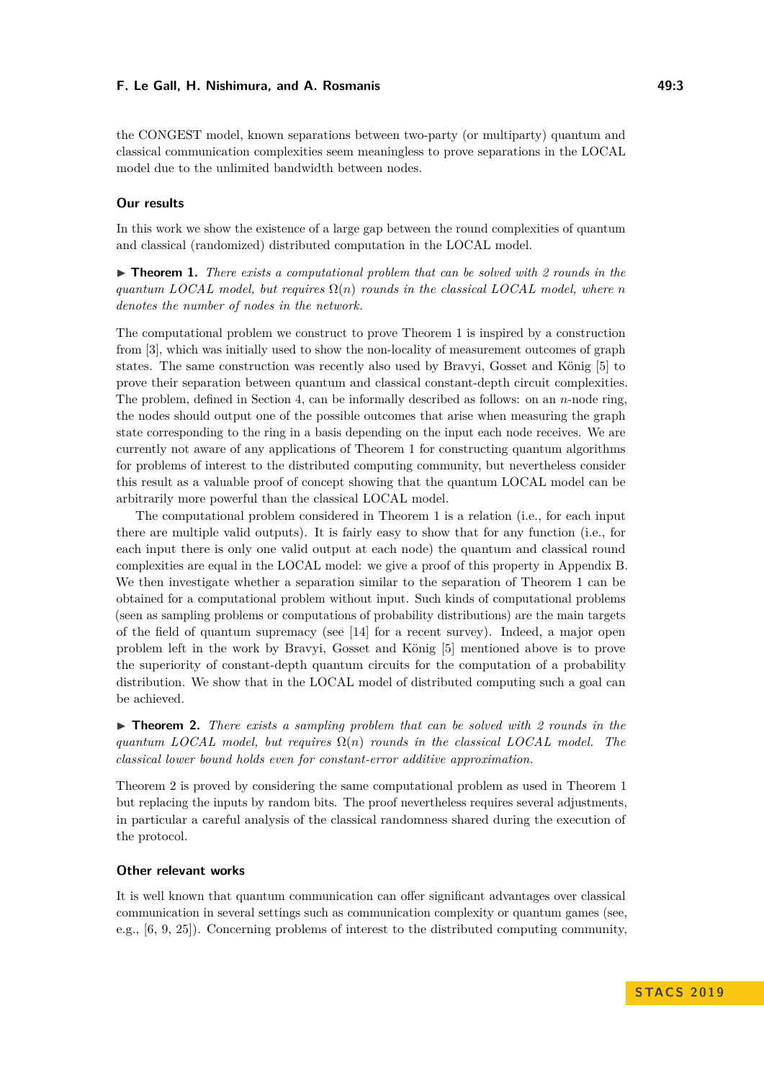the CONGEST model, known separations between two-party (or multiparty) quantum and classical communication complexities seem meaningless to prove separations in the LOCAL model due to the unlimited bandwidth between nodes.

## **Our results**

In this work we show the existence of a large gap between the round complexities of quantum and classical (randomized) distributed computation in the LOCAL model.

<span id="page-2-0"></span>► **Theorem 1.** *There exists a computational problem that can be solved with 2 rounds in the quantum LOCAL model, but requires*  $\Omega(n)$  *rounds in the classical LOCAL model, where n denotes the number of nodes in the network.*

The computational problem we construct to prove Theorem [1](#page-2-0) is inspired by a construction from [\[3\]](#page-11-9), which was initially used to show the non-locality of measurement outcomes of graph states. The same construction was recently also used by Bravyi, Gosset and König [\[5\]](#page-11-10) to prove their separation between quantum and classical constant-depth circuit complexities. The problem, defined in Section [4,](#page-7-0) can be informally described as follows: on an *n*-node ring, the nodes should output one of the possible outcomes that arise when measuring the graph state corresponding to the ring in a basis depending on the input each node receives. We are currently not aware of any applications of Theorem [1](#page-2-0) for constructing quantum algorithms for problems of interest to the distributed computing community, but nevertheless consider this result as a valuable proof of concept showing that the quantum LOCAL model can be arbitrarily more powerful than the classical LOCAL model.

The computational problem considered in Theorem [1](#page-2-0) is a relation (i.e., for each input there are multiple valid outputs). It is fairly easy to show that for any function (i.e., for each input there is only one valid output at each node) the quantum and classical round complexities are equal in the LOCAL model: we give a proof of this property in Appendix [B.](#page-13-1) We then investigate whether a separation similar to the separation of Theorem [1](#page-2-0) can be obtained for a computational problem without input. Such kinds of computational problems (seen as sampling problems or computations of probability distributions) are the main targets of the field of quantum supremacy (see [\[14\]](#page-11-11) for a recent survey). Indeed, a major open problem left in the work by Bravyi, Gosset and König [\[5\]](#page-11-10) mentioned above is to prove the superiority of constant-depth quantum circuits for the computation of a probability distribution. We show that in the LOCAL model of distributed computing such a goal can be achieved.

<span id="page-2-1"></span> $\triangleright$  **Theorem 2.** *There exists a sampling problem that can be solved with 2 rounds in the quantum LOCAL model, but requires*  $\Omega(n)$  *rounds in the classical LOCAL model. The classical lower bound holds even for constant-error additive approximation.*

Theorem [2](#page-2-1) is proved by considering the same computational problem as used in Theorem [1](#page-2-0) but replacing the inputs by random bits. The proof nevertheless requires several adjustments, in particular a careful analysis of the classical randomness shared during the execution of the protocol.

### **Other relevant works**

It is well known that quantum communication can offer significant advantages over classical communication in several settings such as communication complexity or quantum games (see, e.g., [\[6,](#page-11-12) [9,](#page-11-13) [25\]](#page-12-6)). Concerning problems of interest to the distributed computing community,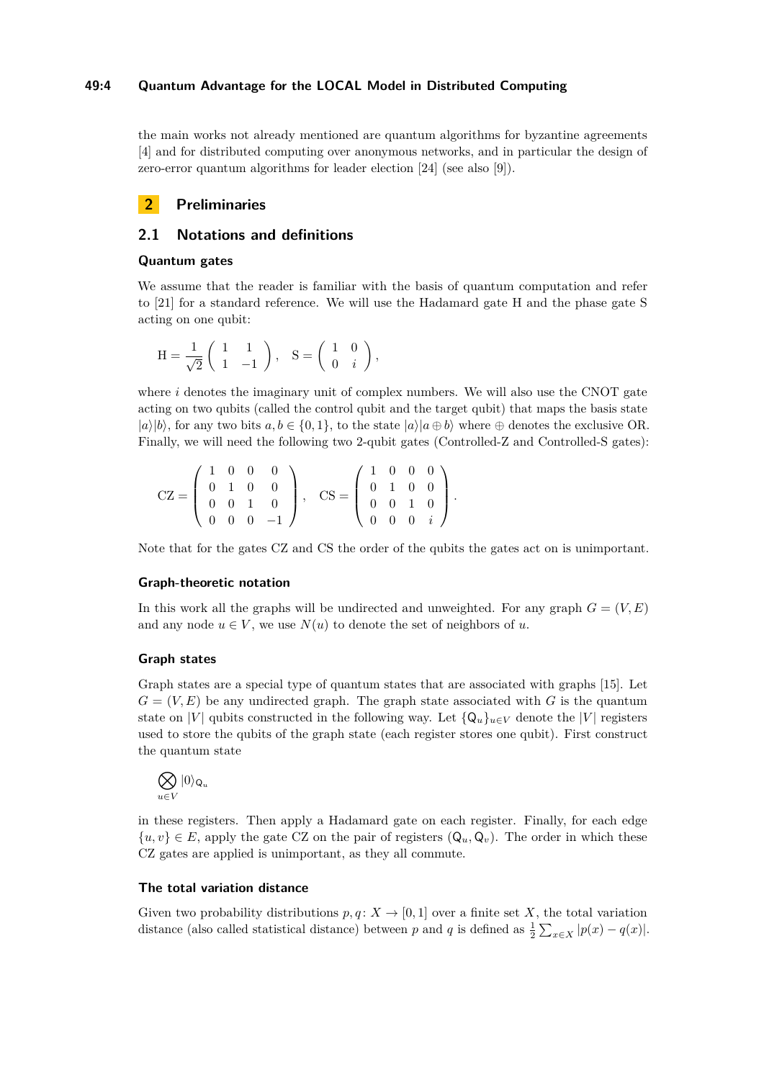## **49:4 Quantum Advantage for the LOCAL Model in Distributed Computing**

the main works not already mentioned are quantum algorithms for byzantine agreements [\[4\]](#page-11-14) and for distributed computing over anonymous networks, and in particular the design of zero-error quantum algorithms for leader election [\[24\]](#page-12-7) (see also [\[9\]](#page-11-13)).

# **2 Preliminaries**

## <span id="page-3-0"></span>**2.1 Notations and definitions**

## **Quantum gates**

We assume that the reader is familiar with the basis of quantum computation and refer to [\[21\]](#page-12-8) for a standard reference. We will use the Hadamard gate H and the phase gate S acting on one qubit:

$$
H = \frac{1}{\sqrt{2}} \begin{pmatrix} 1 & 1 \\ 1 & -1 \end{pmatrix}, S = \begin{pmatrix} 1 & 0 \\ 0 & i \end{pmatrix},
$$

where  $i$  denotes the imaginary unit of complex numbers. We will also use the CNOT gate acting on two qubits (called the control qubit and the target qubit) that maps the basis state  $|a\rangle|b\rangle$ , for any two bits  $a, b \in \{0, 1\}$ , to the state  $|a\rangle|a \oplus b\rangle$  where  $\oplus$  denotes the exclusive OR. Finally, we will need the following two 2-qubit gates (Controlled-Z and Controlled-S gates):

$$
CZ = \left(\begin{array}{rrrr} 1 & 0 & 0 & 0 \\ 0 & 1 & 0 & 0 \\ 0 & 0 & 1 & 0 \\ 0 & 0 & 0 & -1 \end{array}\right), \quad CS = \left(\begin{array}{rrrr} 1 & 0 & 0 & 0 \\ 0 & 1 & 0 & 0 \\ 0 & 0 & 1 & 0 \\ 0 & 0 & 0 & i \end{array}\right).
$$

Note that for the gates CZ and CS the order of the qubits the gates act on is unimportant.

#### **Graph-theoretic notation**

In this work all the graphs will be undirected and unweighted. For any graph  $G = (V, E)$ and any node  $u \in V$ , we use  $N(u)$  to denote the set of neighbors of *u*.

## **Graph states**

Graph states are a special type of quantum states that are associated with graphs [\[15\]](#page-11-15). Let  $G = (V, E)$  be any undirected graph. The graph state associated with G is the quantum state on |*V*| qubits constructed in the following way. Let  $\{Q_u\}_{u\in V}$  denote the |*V*| registers used to store the qubits of the graph state (each register stores one qubit). First construct the quantum state

$$
\bigotimes_{u\in V}|0\rangle_{\mathsf{Q}_u}
$$

in these registers. Then apply a Hadamard gate on each register. Finally, for each edge  $\{u, v\} \in E$ , apply the gate CZ on the pair of registers  $(Q_u, Q_v)$ . The order in which these CZ gates are applied is unimportant, as they all commute.

## **The total variation distance**

Given two probability distributions  $p, q: X \to [0, 1]$  over a finite set X, the total variation distance (also called statistical distance) between *p* and *q* is defined as  $\frac{1}{2} \sum_{x \in X} |p(x) - q(x)|$ .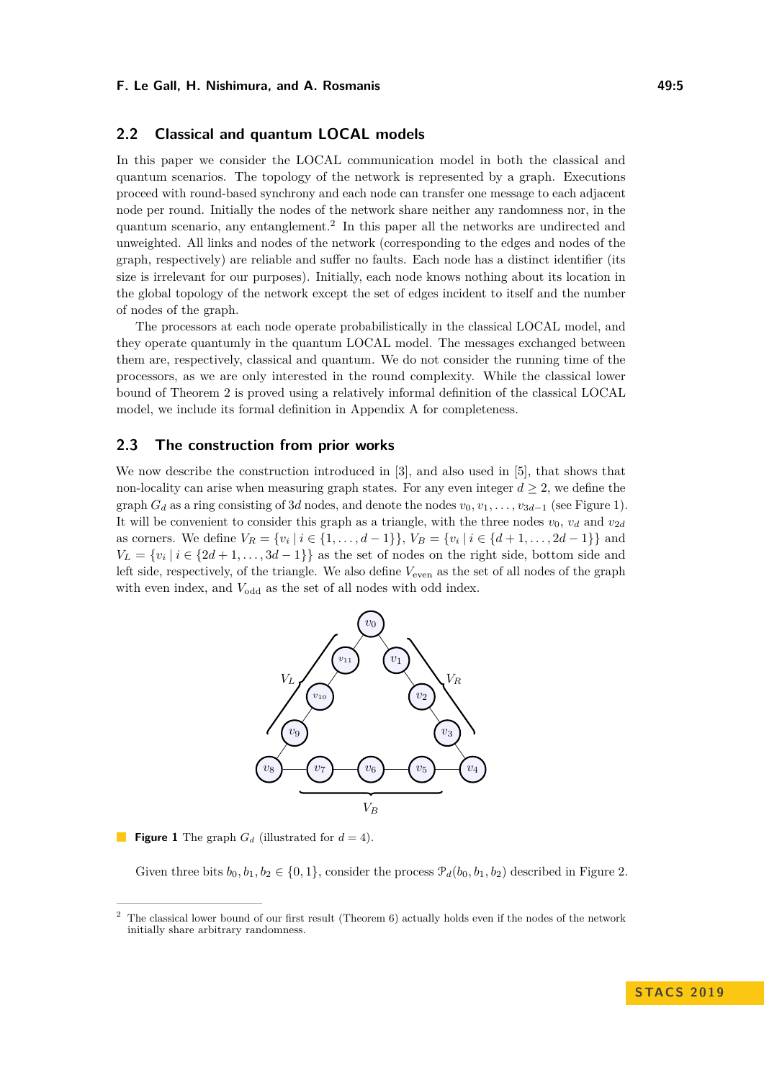## **2.2 Classical and quantum LOCAL models**

In this paper we consider the LOCAL communication model in both the classical and quantum scenarios. The topology of the network is represented by a graph. Executions proceed with round-based synchrony and each node can transfer one message to each adjacent node per round. Initially the nodes of the network share neither any randomness nor, in the quantum scenario, any entanglement.[2](#page-4-0) In this paper all the networks are undirected and unweighted. All links and nodes of the network (corresponding to the edges and nodes of the graph, respectively) are reliable and suffer no faults. Each node has a distinct identifier (its size is irrelevant for our purposes). Initially, each node knows nothing about its location in the global topology of the network except the set of edges incident to itself and the number of nodes of the graph.

The processors at each node operate probabilistically in the classical LOCAL model, and they operate quantumly in the quantum LOCAL model. The messages exchanged between them are, respectively, classical and quantum. We do not consider the running time of the processors, as we are only interested in the round complexity. While the classical lower bound of Theorem [2](#page-2-1) is proved using a relatively informal definition of the classical LOCAL model, we include its formal definition in Appendix [A](#page-12-9) for completeness.

## <span id="page-4-2"></span>**2.3 The construction from prior works**

We now describe the construction introduced in [\[3\]](#page-11-9), and also used in [\[5\]](#page-11-10), that shows that non-locality can arise when measuring graph states. For any even integer  $d \geq 2$ , we define the graph  $G_d$  as a ring consisting of 3*d* nodes, and denote the nodes  $v_0, v_1, \ldots, v_{3d-1}$  (see Figure [1\)](#page-4-1). It will be convenient to consider this graph as a triangle, with the three nodes  $v_0$ ,  $v_d$  and  $v_{2d}$ as corners. We define  $V_R = \{v_i \mid i \in \{1, ..., d-1\}\}, V_B = \{v_i \mid i \in \{d+1, ..., 2d-1\}\}\$ and  $V_L = \{v_i \mid i \in \{2d+1,\ldots,3d-1\}\}\$ as the set of nodes on the right side, bottom side and left side, respectively, of the triangle. We also define  $V_{\text{even}}$  as the set of all nodes of the graph with even index, and  $V_{\text{odd}}$  as the set of all nodes with odd index.

<span id="page-4-1"></span>

**Figure 1** The graph  $G_d$  (illustrated for  $d = 4$ ).

Given three bits  $b_0, b_1, b_2 \in \{0, 1\}$ , consider the process  $\mathcal{P}_d(b_0, b_1, b_2)$  described in Figure [2.](#page-5-0)

<span id="page-4-0"></span><sup>2</sup> The classical lower bound of our first result (Theorem [6\)](#page-8-0) actually holds even if the nodes of the network initially share arbitrary randomness.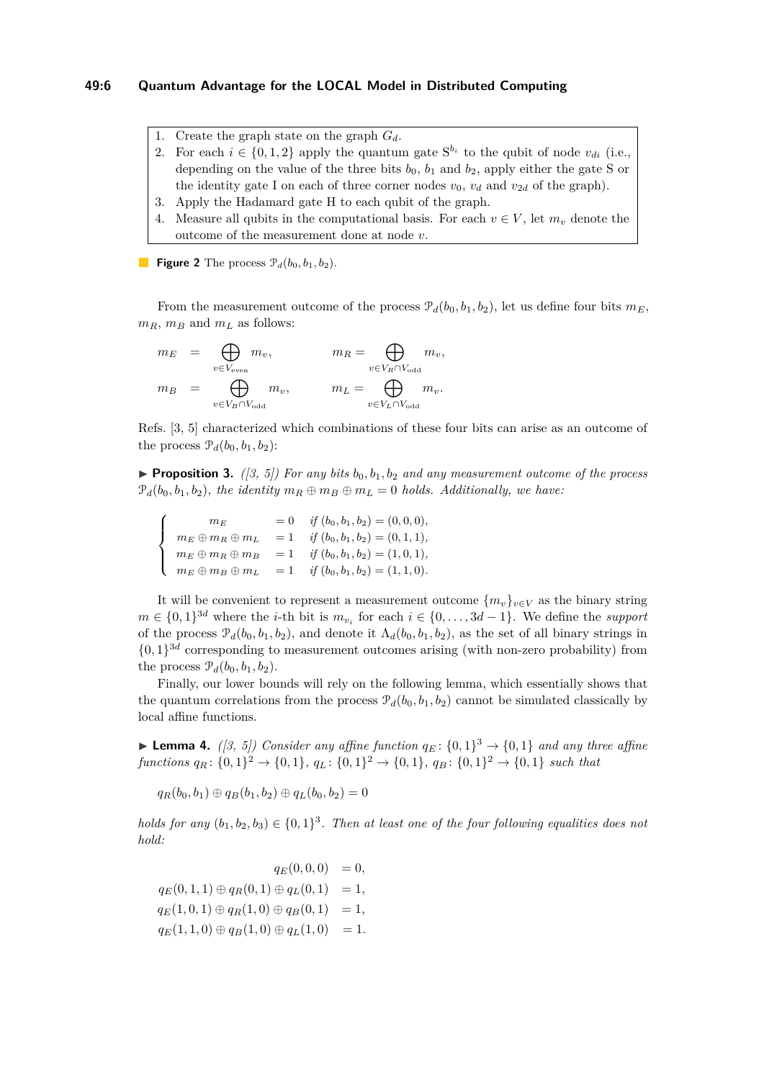## **49:6 Quantum Advantage for the LOCAL Model in Distributed Computing**

- <span id="page-5-0"></span>1. Create the graph state on the graph *Gd*.
- 2. For each  $i \in \{0, 1, 2\}$  apply the quantum gate  $S^{b_i}$  to the qubit of node  $v_{di}$  (i.e., depending on the value of the three bits  $b_0$ ,  $b_1$  and  $b_2$ , apply either the gate S or the identity gate I on each of three corner nodes  $v_0$ ,  $v_d$  and  $v_{2d}$  of the graph).
- 3. Apply the Hadamard gate H to each qubit of the graph.
- 4. Measure all qubits in the computational basis. For each  $v \in V$ , let  $m_v$  denote the outcome of the measurement done at node *v*.

**Figure 2** The process  $\mathcal{P}_d(b_0, b_1, b_2)$ .

From the measurement outcome of the process  $\mathcal{P}_d(b_0, b_1, b_2)$ , let us define four bits  $m_E$ ,  $m_B$ ,  $m_B$  and  $m_L$  as follows:

$$
\begin{array}{lcl} m_E & = & \bigoplus\limits_{v \in V_{\rm even}} m_v, \qquad & m_R = \bigoplus\limits_{v \in V_R \cap V_{\rm odd}} m_v, \\ m_B & = & \bigoplus\limits_{v \in V_B \cap V_{\rm odd}} m_v, \qquad & m_L = \bigoplus\limits_{v \in V_L \cap V_{\rm odd}} m_v. \end{array}
$$

Refs. [\[3,](#page-11-9) [5\]](#page-11-10) characterized which combinations of these four bits can arise as an outcome of the process  $\mathcal{P}_d(b_0, b_1, b_2)$ :

<span id="page-5-1"></span>**Proposition 3.** ([\[3,](#page-11-9) [5\]](#page-11-10)) For any bits  $b_0, b_1, b_2$  and any measurement outcome of the process  $\mathcal{P}_d(b_0, b_1, b_2)$ *, the identity*  $m_R \oplus m_B \oplus m_L = 0$  *holds. Additionally, we have:* 

$$
\begin{cases}\n m_E = 0 & \text{if } (b_0, b_1, b_2) = (0, 0, 0), \\
m_E \oplus m_R \oplus m_L = 1 & \text{if } (b_0, b_1, b_2) = (0, 1, 1), \\
m_E \oplus m_R \oplus m_B = 1 & \text{if } (b_0, b_1, b_2) = (1, 0, 1), \\
m_E \oplus m_B \oplus m_L = 1 & \text{if } (b_0, b_1, b_2) = (1, 1, 0).\n\end{cases}
$$

It will be convenient to represent a measurement outcome  $\{m_v\}_{v \in V}$  as the binary string *m* ∈ {0, 1}<sup>3*d*</sup> where the *i*-th bit is  $m_{v_i}$  for each  $i \in \{0, ..., 3d - 1\}$ . We define the *support* of the process  $\mathcal{P}_d(b_0, b_1, b_2)$ , and denote it  $\Lambda_d(b_0, b_1, b_2)$ , as the set of all binary strings in  $\{0,1\}^{3d}$  corresponding to measurement outcomes arising (with non-zero probability) from the process  $\mathcal{P}_d(b_0, b_1, b_2)$ .

Finally, our lower bounds will rely on the following lemma, which essentially shows that the quantum correlations from the process  $\mathcal{P}_d(b_0, b_1, b_2)$  cannot be simulated classically by local affine functions.

<span id="page-5-2"></span>**Lemma 4.** *([\[3,](#page-11-9) [5\]](#page-11-10))* Consider any affine function  $q_E$ :  $\{0, 1\}$ <sup>3</sup>  $\rightarrow$   $\{0, 1\}$  and any three affine  $functions\ qR: \{0,1\}^2 \to \{0,1\},\ q_L: \{0,1\}^2 \to \{0,1\},\ q_B: \{0,1\}^2 \to \{0,1\}\$  such that

 $q_R(b_0, b_1) \oplus q_B(b_1, b_2) \oplus q_L(b_0, b_2) = 0$ 

*holds for any*  $(b_1, b_2, b_3) \in \{0, 1\}^3$ . Then at least one of the four following equalities does not *hold:*

 $q_E(0,0,0) = 0,$  $q_E(0, 1, 1) \oplus q_R(0, 1) \oplus q_L(0, 1) = 1$ ,  $q_E(1, 0, 1) \oplus q_R(1, 0) \oplus q_B(0, 1) = 1$ ,  $q_E(1, 1, 0) \oplus q_B(1, 0) \oplus q_L(1, 0) = 1.$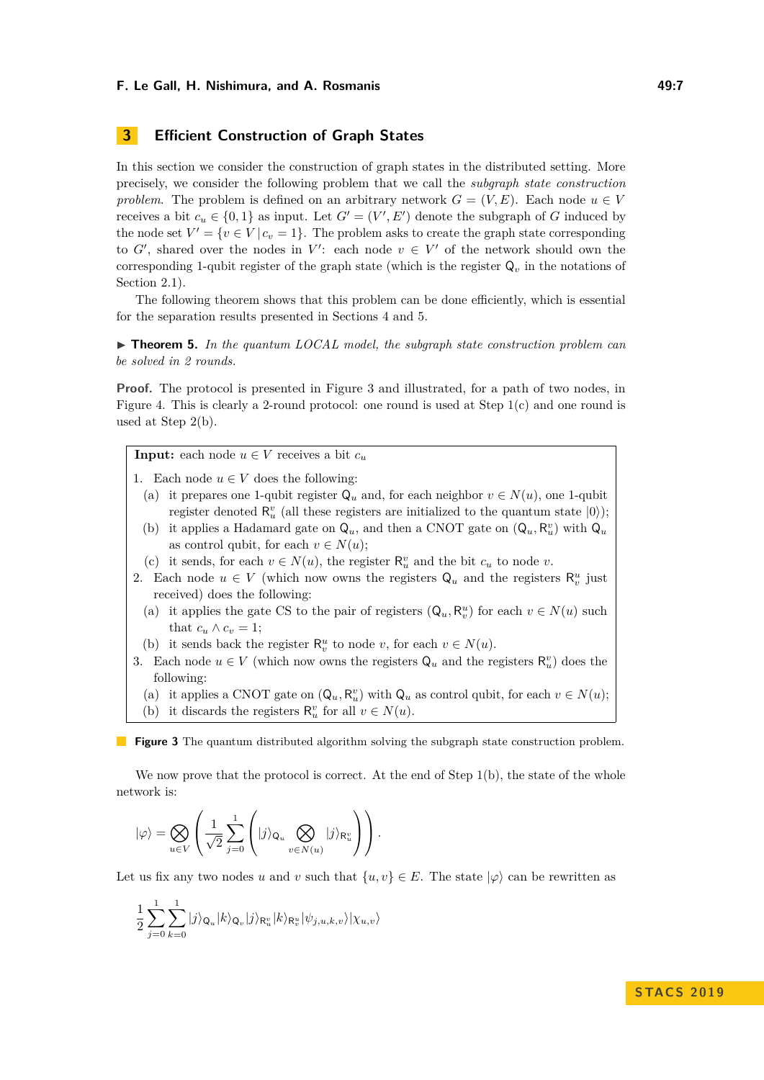# **3 Efficient Construction of Graph States**

In this section we consider the construction of graph states in the distributed setting. More precisely, we consider the following problem that we call the *subgraph state construction problem*. The problem is defined on an arbitrary network  $G = (V, E)$ . Each node  $u \in V$ receives a bit  $c_u \in \{0,1\}$  as input. Let  $G' = (V', E')$  denote the subgraph of *G* induced by the node set  $V' = \{v \in V | c_v = 1\}$ . The problem asks to create the graph state corresponding to  $G'$ , shared over the nodes in  $V'$ : each node  $v \in V'$  of the network should own the corresponding 1-qubit register of the graph state (which is the register  $Q<sub>v</sub>$  in the notations of Section [2.1\)](#page-3-0).

The following theorem shows that this problem can be done efficiently, which is essential for the separation results presented in Sections [4](#page-7-0) and [5.](#page-9-0)

<span id="page-6-1"></span>▶ **Theorem 5.** In the quantum LOCAL model, the subgraph state construction problem can *be solved in 2 rounds.*

**Proof.** The protocol is presented in Figure [3](#page-6-0) and illustrated, for a path of two nodes, in Figure [4.](#page-7-1) This is clearly a 2-round protocol: one round is used at Step 1(c) and one round is used at Step 2(b).

<span id="page-6-0"></span>**Input:** each node  $u \in V$  receives a bit  $c_u$ 

1. Each node  $u \in V$  does the following:

- (a) it prepares one 1-qubit register  $Q_u$  and, for each neighbor  $v \in N(u)$ , one 1-qubit register denoted  $\mathsf{R}^v_u$  (all these registers are initialized to the quantum state  $|0\rangle$ );
- (b) it applies a Hadamard gate on  $Q_u$ , and then a CNOT gate on  $(Q_u, R_u^v)$  with  $Q_u$ as control qubit, for each  $v \in N(u)$ ;
- (c) it sends, for each  $v \in N(u)$ , the register  $\mathsf{R}^v_u$  and the bit  $c_u$  to node  $v$ .
- 2. Each node  $u \in V$  (which now owns the registers  $Q_u$  and the registers  $\mathsf{R}_v^u$  just received) does the following:
	- (a) it applies the gate CS to the pair of registers  $(Q_u, R_v^u)$  for each  $v \in N(u)$  such that  $c_u \wedge c_v = 1$ ;
	- (b) it sends back the register  $\mathsf{R}_{v}^{u}$  to node *v*, for each  $v \in N(u)$ .
- 3. Each node  $u \in V$  (which now owns the registers  $\mathsf{Q}_u$  and the registers  $\mathsf{R}_u^v$ ) does the following:
	- (a) it applies a CNOT gate on  $(Q_u, R_u^v)$  with  $Q_u$  as control qubit, for each  $v \in N(u)$ ;
	- (b) it discards the registers  $\mathsf{R}^v_u$  for all  $v \in N(u)$ .

**Figure 3** The quantum distributed algorithm solving the subgraph state construction problem.

We now prove that the protocol is correct. At the end of Step 1(b), the state of the whole network is:

$$
|\varphi\rangle = \bigotimes_{u \in V} \left( \frac{1}{\sqrt{2}} \sum_{j=0}^{1} \left( |j\rangle_{\mathsf{Q}_u} \bigotimes_{v \in N(u)} |j\rangle_{\mathsf{R}_u^v} \right) \right).
$$

Let us fix any two nodes *u* and *v* such that  $\{u, v\} \in E$ . The state  $|\varphi\rangle$  can be rewritten as

$$
\frac{1}{2}\sum_{j=0}^{1}\sum_{k=0}^{1}|j\rangle_{\mathsf{Q}_{u}}|k\rangle_{\mathsf{Q}_{v}}|j\rangle_{\mathsf{R}_{u}^{v}}|k\rangle_{\mathsf{R}_{v}^{u}}|\psi_{j,u,k,v}\rangle|\chi_{u,v}\rangle
$$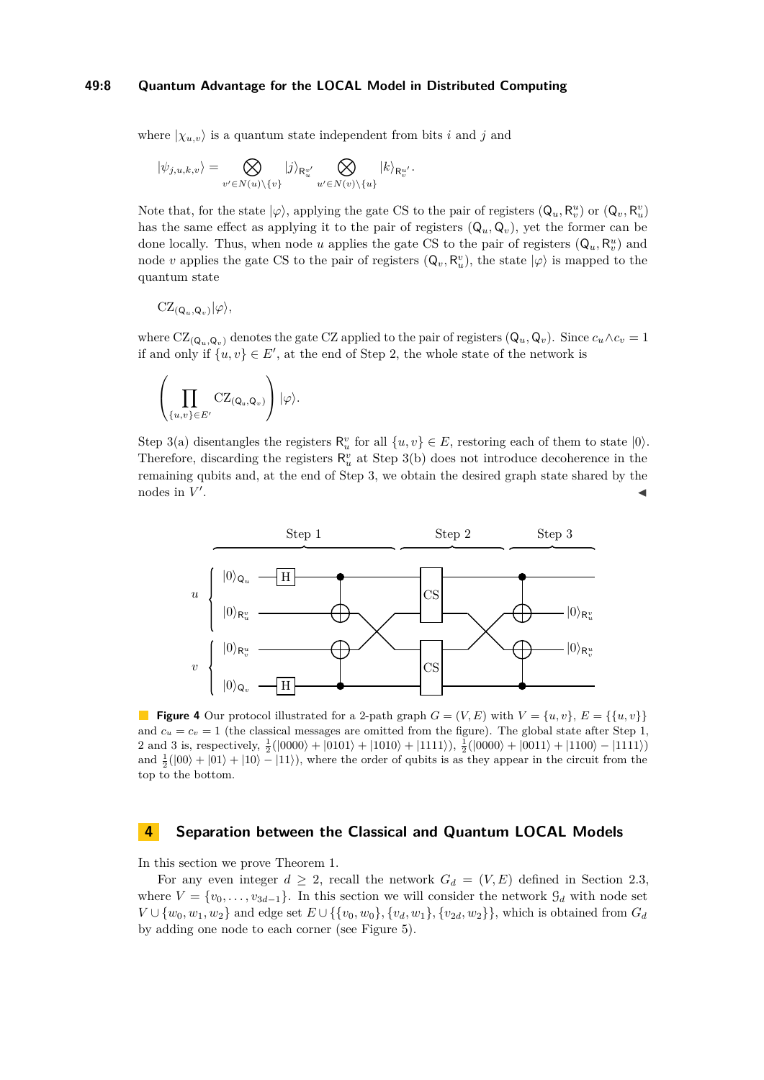#### **49:8 Quantum Advantage for the LOCAL Model in Distributed Computing**

where  $|\chi_{u,v}\rangle$  is a quantum state independent from bits *i* and *j* and

$$
|\psi_{j,u,k,v}\rangle = \bigotimes_{v' \in N(u) \backslash \{v\}} |j\rangle_{\mathsf{R}_{u}^{v'}} \bigotimes_{u' \in N(v) \backslash \{u\}} |k\rangle_{\mathsf{R}_{v}^{u'}}.
$$

Note that, for the state  $|\varphi\rangle$ , applying the gate CS to the pair of registers  $(Q_u, R_v^u)$  or  $(Q_v, R_u^v)$ has the same effect as applying it to the pair of registers  $(Q_u, Q_v)$ , yet the former can be done locally. Thus, when node *u* applies the gate CS to the pair of registers  $(Q_u, R_v^u)$  and node *v* applies the gate CS to the pair of registers  $(Q_v, R_u^v)$ , the state  $|\varphi\rangle$  is mapped to the quantum state

$$
CZ_{(Q_u,Q_v)}|\varphi\rangle,
$$

where  $CZ_{(Q_u,Q_v)}$  denotes the gate CZ applied to the pair of registers  $(Q_u,Q_v)$ . Since  $c_u \wedge c_v = 1$ if and only if  $\{u, v\} \in E'$ , at the end of Step 2, the whole state of the network is

$$
\left(\prod_{\{u,v\}\in E'} {\rm CZ}_{({\sf Q}_u,{\sf Q}_v)}\right)|\varphi\rangle.
$$

Step 3(a) disentangles the registers  $\mathsf{R}_{u}^{v}$  for all  $\{u, v\} \in E$ , restoring each of them to state  $|0\rangle$ . Therefore, discarding the registers  $\mathsf{R}^v_u$  at Step 3(b) does not introduce decoherence in the remaining qubits and, at the end of Step 3, we obtain the desired graph state shared by the nodes in  $V'$ . January 1980, January 2001, January 2002, January 2003, January 2003, January 2003, January 2003, January 20<br>January 2003, January 2003, January 2003, January 2003, January 2003, January 2003, January 2003, January 2003

<span id="page-7-1"></span>

**Figure 4** Our protocol illustrated for a 2-path graph  $G = (V, E)$  with  $V = \{u, v\}$ ,  $E = \{\{u, v\}\}\$ and  $c_u = c_v = 1$  (the classical messages are omitted from the figure). The global state after Step 1, 2 and 3 is, respectively,  $\frac{1}{2}(|0000\rangle + |0101\rangle + |1010\rangle + |1111\rangle)$ ,  $\frac{1}{2}(|0000\rangle + |0011\rangle + |1100\rangle - |1111\rangle)$ and  $\frac{1}{2}(|00\rangle + |01\rangle + |10\rangle - |11\rangle)$ , where the order of qubits is as they appear in the circuit from the top to the bottom.

## <span id="page-7-0"></span>**4 Separation between the Classical and Quantum LOCAL Models**

In this section we prove Theorem [1.](#page-2-0)

For any even integer  $d \geq 2$ , recall the network  $G_d = (V, E)$  defined in Section [2.3,](#page-4-2) where  $V = \{v_0, \ldots, v_{3d-1}\}.$  In this section we will consider the network  $\mathcal{G}_d$  with node set *V* ∪ { $w_0, w_1, w_2$ } and edge set  $E \cup \{\{v_0, w_0\}, \{v_d, w_1\}, \{v_{2d}, w_2\}\}$ , which is obtained from  $G_d$ by adding one node to each corner (see Figure [5\)](#page-8-1).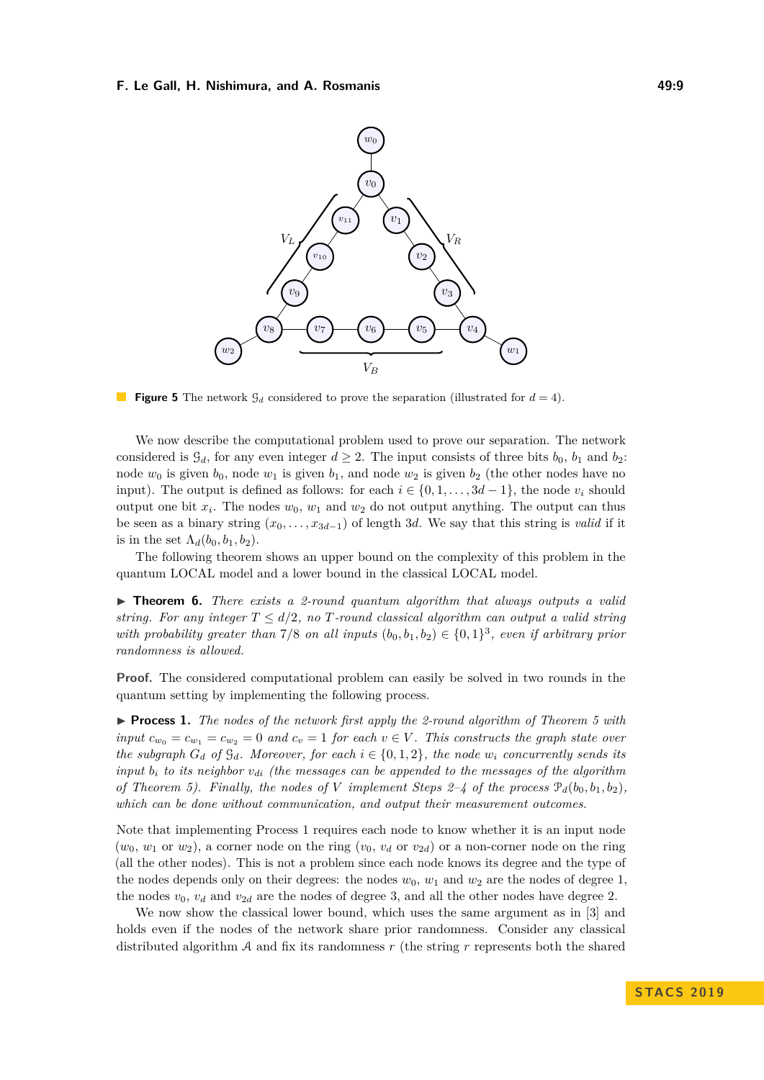<span id="page-8-1"></span>

**Figure 5** The network  $\mathcal{G}_d$  considered to prove the separation (illustrated for  $d = 4$ ).

We now describe the computational problem used to prove our separation. The network considered is  $\mathcal{G}_d$ , for any even integer  $d \geq 2$ . The input consists of three bits  $b_0$ ,  $b_1$  and  $b_2$ : node  $w_0$  is given  $b_0$ , node  $w_1$  is given  $b_1$ , and node  $w_2$  is given  $b_2$  (the other nodes have no input). The output is defined as follows: for each  $i \in \{0, 1, \ldots, 3d - 1\}$ , the node  $v_i$  should output one bit  $x_i$ . The nodes  $w_0$ ,  $w_1$  and  $w_2$  do not output anything. The output can thus be seen as a binary string  $(x_0, \ldots, x_{3d-1})$  of length 3*d*. We say that this string is *valid* if it is in the set  $\Lambda_d(b_0, b_1, b_2)$ .

The following theorem shows an upper bound on the complexity of this problem in the quantum LOCAL model and a lower bound in the classical LOCAL model.

<span id="page-8-0"></span>► **Theorem 6.** *There exists a 2-round quantum algorithm that always outputs a valid string. For any integer*  $T \leq d/2$ , no *T-round classical algorithm can output a valid string with probability greater than*  $7/8$  *on all inputs*  $(b_0, b_1, b_2) \in \{0, 1\}^3$ , *even if arbitrary prior randomness is allowed.*

**Proof.** The considered computational problem can easily be solved in two rounds in the quantum setting by implementing the following process.

<span id="page-8-2"></span>▶ **Process 1.** *The nodes of the network first apply the 2-round algorithm of Theorem [5](#page-6-1) with input*  $c_{w_0} = c_{w_1} = c_{w_2} = 0$  *and*  $c_v = 1$  *for each*  $v \in V$ . This constructs the graph state over *the subgraph*  $G_d$  *of*  $\mathcal{G}_d$ *. Moreover, for each*  $i \in \{0, 1, 2\}$ *, the node*  $w_i$  *concurrently sends its input b<sup>i</sup> to its neighbor vdi (the messages can be appended to the messages of the algorithm of Theorem [5\)](#page-6-1). Finally, the nodes of V implement Steps 2–4 of the process*  $\mathcal{P}_d(b_0, b_1, b_2)$ *, which can be done without communication, and output their measurement outcomes.*

Note that implementing Process [1](#page-8-2) requires each node to know whether it is an input node  $(w_0, w_1 \text{ or } w_2)$ , a corner node on the ring  $(v_0, v_d \text{ or } v_{2d})$  or a non-corner node on the ring (all the other nodes). This is not a problem since each node knows its degree and the type of the nodes depends only on their degrees: the nodes  $w_0$ ,  $w_1$  and  $w_2$  are the nodes of degree 1, the nodes  $v_0$ ,  $v_d$  and  $v_{2d}$  are the nodes of degree 3, and all the other nodes have degree 2.

We now show the classical lower bound, which uses the same argument as in [\[3\]](#page-11-9) and holds even if the nodes of the network share prior randomness. Consider any classical distributed algorithm A and fix its randomness *r* (the string *r* represents both the shared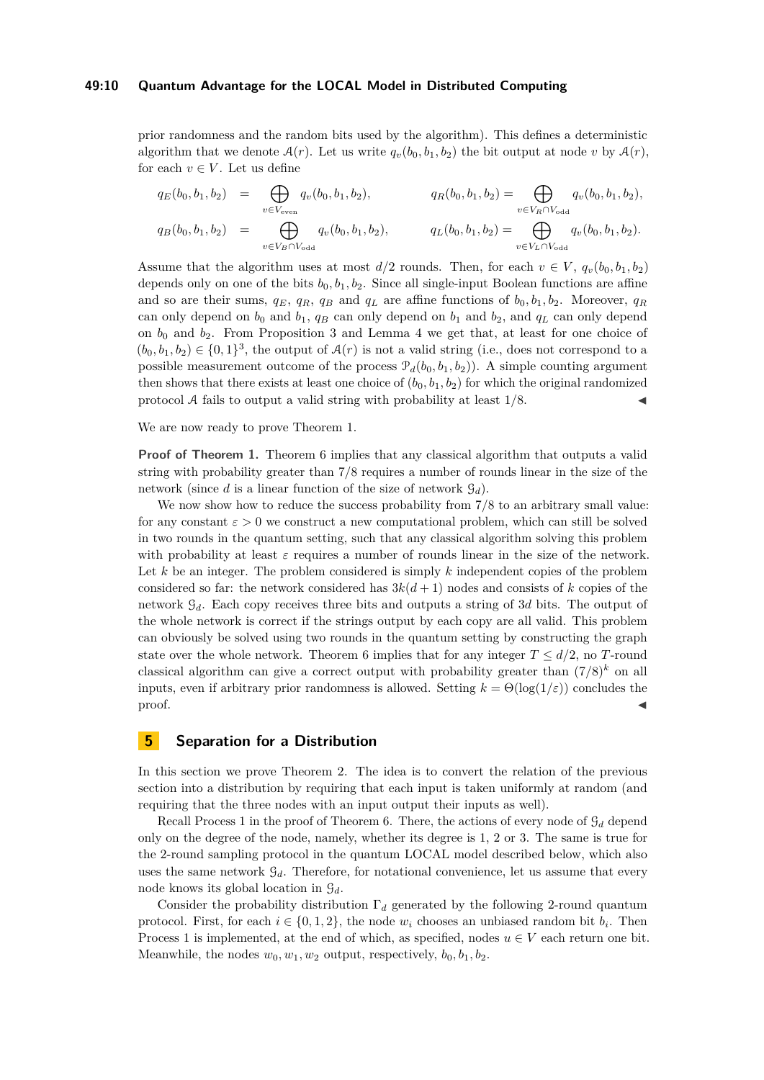#### **49:10 Quantum Advantage for the LOCAL Model in Distributed Computing**

prior randomness and the random bits used by the algorithm). This defines a deterministic algorithm that we denote  $A(r)$ . Let us write  $q_v(b_0, b_1, b_2)$  the bit output at node *v* by  $A(r)$ , for each  $v \in V$ . Let us define

$$
q_E(b_0, b_1, b_2) = \bigoplus_{v \in V_{\text{even}}} q_v(b_0, b_1, b_2), \qquad q_R(b_0, b_1, b_2) = \bigoplus_{v \in V_R \cap V_{\text{odd}}} q_v(b_0, b_1, b_2),
$$
  
\n
$$
q_B(b_0, b_1, b_2) = \bigoplus_{v \in V_B \cap V_{\text{odd}}} q_v(b_0, b_1, b_2), \qquad q_L(b_0, b_1, b_2) = \bigoplus_{v \in V_L \cap V_{\text{odd}}} q_v(b_0, b_1, b_2).
$$

Assume that the algorithm uses at most  $d/2$  rounds. Then, for each  $v \in V$ ,  $q_v(b_0, b_1, b_2)$ depends only on one of the bits  $b_0, b_1, b_2$ . Since all single-input Boolean functions are affine and so are their sums,  $q_E$ ,  $q_R$ ,  $q_B$  and  $q_L$  are affine functions of  $b_0, b_1, b_2$ . Moreover,  $q_R$ can only depend on  $b_0$  and  $b_1$ ,  $q_B$  can only depend on  $b_1$  and  $b_2$ , and  $q_L$  can only depend on  $b_0$  and  $b_2$ . From Proposition [3](#page-5-1) and Lemma [4](#page-5-2) we get that, at least for one choice of  $(b_0, b_1, b_2) \in \{0, 1\}^3$ , the output of  $\mathcal{A}(r)$  is not a valid string (i.e., does not correspond to a possible measurement outcome of the process  $\mathcal{P}_d(b_0, b_1, b_2)$ ). A simple counting argument then shows that there exists at least one choice of  $(b_0, b_1, b_2)$  for which the original randomized protocol  $\mathcal A$  fails to output a valid string with probability at least  $1/8$ .

We are now ready to prove Theorem [1.](#page-2-0)

**Proof of Theorem [1.](#page-2-0)** Theorem [6](#page-8-0) implies that any classical algorithm that outputs a valid string with probability greater than 7*/*8 requires a number of rounds linear in the size of the network (since *d* is a linear function of the size of network  $\mathcal{G}_d$ ).

We now show how to reduce the success probability from  $7/8$  to an arbitrary small value: for any constant  $\varepsilon > 0$  we construct a new computational problem, which can still be solved in two rounds in the quantum setting, such that any classical algorithm solving this problem with probability at least  $\varepsilon$  requires a number of rounds linear in the size of the network. Let  $k$  be an integer. The problem considered is simply  $k$  independent copies of the problem considered so far: the network considered has  $3k(d+1)$  nodes and consists of k copies of the network G*d*. Each copy receives three bits and outputs a string of 3*d* bits. The output of the whole network is correct if the strings output by each copy are all valid. This problem can obviously be solved using two rounds in the quantum setting by constructing the graph state over the whole network. Theorem [6](#page-8-0) implies that for any integer  $T \leq d/2$ , no *T*-round classical algorithm can give a correct output with probability greater than  $(7/8)^k$  on all inputs, even if arbitrary prior randomness is allowed. Setting  $k = \Theta(\log(1/\varepsilon))$  concludes the proof.

# <span id="page-9-0"></span>**5 Separation for a Distribution**

In this section we prove Theorem [2.](#page-2-1) The idea is to convert the relation of the previous section into a distribution by requiring that each input is taken uniformly at random (and requiring that the three nodes with an input output their inputs as well).

Recall Process [1](#page-8-2) in the proof of Theorem [6.](#page-8-0) There, the actions of every node of G*<sup>d</sup>* depend only on the degree of the node, namely, whether its degree is 1, 2 or 3. The same is true for the 2-round sampling protocol in the quantum LOCAL model described below, which also uses the same network  $\mathcal{G}_d$ . Therefore, for notational convenience, let us assume that every node knows its global location in G*d*.

Consider the probability distribution Γ*<sup>d</sup>* generated by the following 2-round quantum protocol. First, for each  $i \in \{0, 1, 2\}$ , the node  $w_i$  chooses an unbiased random bit  $b_i$ . Then Process [1](#page-8-2) is implemented, at the end of which, as specified, nodes  $u \in V$  each return one bit. Meanwhile, the nodes  $w_0, w_1, w_2$  output, respectively,  $b_0, b_1, b_2$ .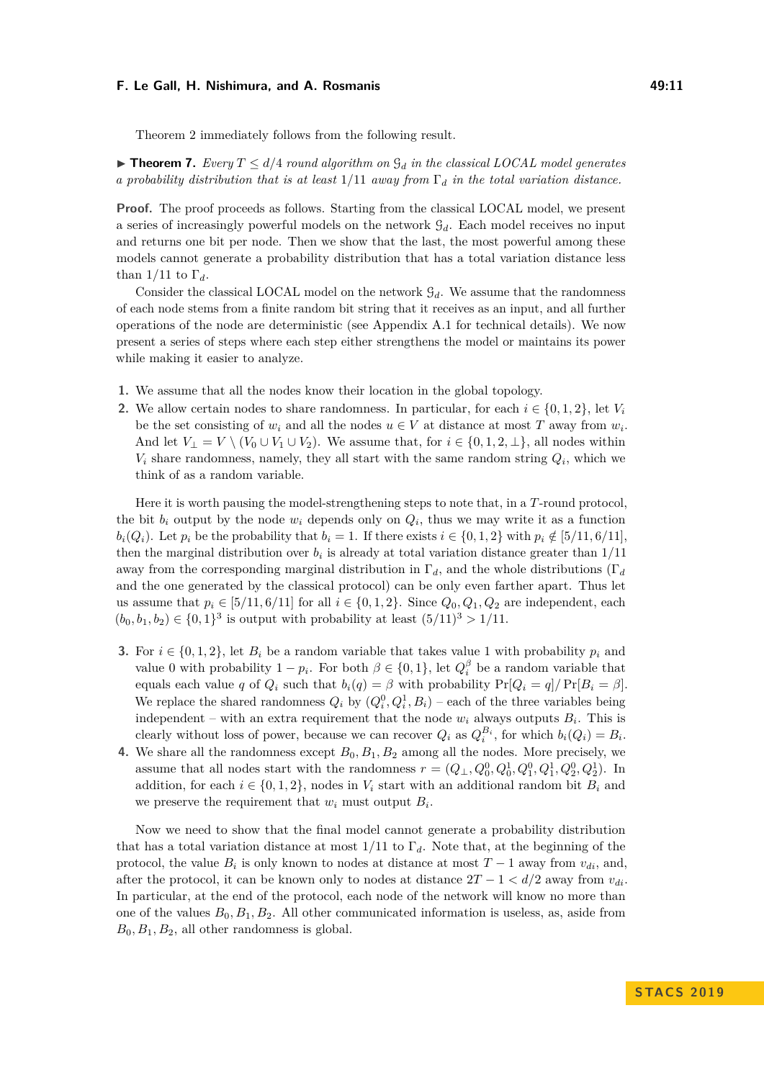Theorem [2](#page-2-1) immediately follows from the following result.

 $\triangleright$  **Theorem 7.** Every  $T \leq d/4$  round algorithm on  $G_d$  in the classical LOCAL model generates *a probability distribution that is at least* 1*/*11 *away from* Γ*<sup>d</sup> in the total variation distance.*

**Proof.** The proof proceeds as follows. Starting from the classical LOCAL model, we present a series of increasingly powerful models on the network G*d*. Each model receives no input and returns one bit per node. Then we show that the last, the most powerful among these models cannot generate a probability distribution that has a total variation distance less than  $1/11$  to  $\Gamma_d$ .

Consider the classical LOCAL model on the network  $\mathcal{G}_d$ . We assume that the randomness of each node stems from a finite random bit string that it receives as an input, and all further operations of the node are deterministic (see Appendix [A.1](#page-12-10) for technical details). We now present a series of steps where each step either strengthens the model or maintains its power while making it easier to analyze.

- **1.** We assume that all the nodes know their location in the global topology.
- **2.** We allow certain nodes to share randomness. In particular, for each  $i \in \{0, 1, 2\}$ , let  $V_i$ be the set consisting of  $w_i$  and all the nodes  $u \in V$  at distance at most *T* away from  $w_i$ . And let  $V_{\perp} = V \setminus (V_0 \cup V_1 \cup V_2)$ . We assume that, for  $i \in \{0, 1, 2, \perp\}$ , all nodes within  $V_i$  share randomness, namely, they all start with the same random string  $Q_i$ , which we think of as a random variable.

Here it is worth pausing the model-strengthening steps to note that, in a *T*-round protocol, the bit  $b_i$  output by the node  $w_i$  depends only on  $Q_i$ , thus we may write it as a function  $b_i(Q_i)$ . Let  $p_i$  be the probability that  $b_i = 1$ . If there exists  $i \in \{0, 1, 2\}$  with  $p_i \notin [5/11, 6/11]$ , then the marginal distribution over  $b_i$  is already at total variation distance greater than  $1/11$ away from the corresponding marginal distribution in Γ*d*, and the whole distributions (Γ*<sup>d</sup>* and the one generated by the classical protocol) can be only even farther apart. Thus let us assume that  $p_i \in [5/11, 6/11]$  for all  $i \in \{0, 1, 2\}$ . Since  $Q_0, Q_1, Q_2$  are independent, each  $(b_0, b_1, b_2) \in \{0, 1\}^3$  is output with probability at least  $(5/11)^3 > 1/11$ .

- **3.** For  $i \in \{0, 1, 2\}$ , let  $B_i$  be a random variable that takes value 1 with probability  $p_i$  and value 0 with probability  $1 - p_i$ . For both  $\beta \in \{0, 1\}$ , let  $Q_i^{\beta}$  be a random variable that equals each value *q* of  $Q_i$  such that  $b_i(q) = \beta$  with probability  $Pr[Q_i = q]/Pr[B_i = \beta]$ . We replace the shared randomness  $Q_i$  by  $(Q_i^0, Q_i^1, B_i)$  – each of the three variables being independent – with an extra requirement that the node  $w_i$  always outputs  $B_i$ . This is clearly without loss of power, because we can recover  $Q_i$  as  $Q_i^{B_i}$ , for which  $b_i(Q_i) = B_i$ .
- **4.** We share all the randomness except  $B_0, B_1, B_2$  among all the nodes. More precisely, we assume that all nodes start with the randomness  $r = (Q_{\perp}, Q_0^0, Q_0^1, Q_1^0, Q_1^1, Q_2^0, Q_2^1)$ . In addition, for each  $i \in \{0, 1, 2\}$ , nodes in  $V_i$  start with an additional random bit  $B_i$  and we preserve the requirement that  $w_i$  must output  $B_i$ .

Now we need to show that the final model cannot generate a probability distribution that has a total variation distance at most 1*/*11 to Γ*d*. Note that, at the beginning of the protocol, the value  $B_i$  is only known to nodes at distance at most  $T-1$  away from  $v_{di}$ , and, after the protocol, it can be known only to nodes at distance  $2T - 1 < d/2$  away from  $v_{di}$ . In particular, at the end of the protocol, each node of the network will know no more than one of the values  $B_0, B_1, B_2$ . All other communicated information is useless, as, aside from  $B_0, B_1, B_2$ , all other randomness is global.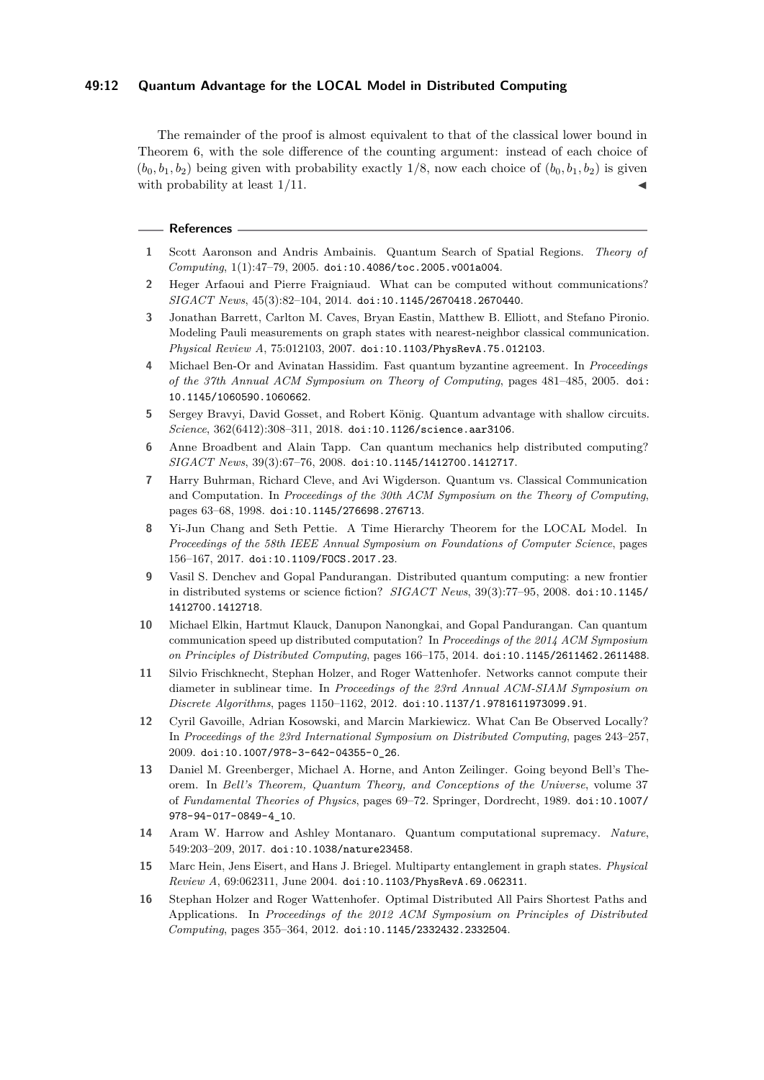## **49:12 Quantum Advantage for the LOCAL Model in Distributed Computing**

The remainder of the proof is almost equivalent to that of the classical lower bound in Theorem [6,](#page-8-0) with the sole difference of the counting argument: instead of each choice of  $(b_0, b_1, b_2)$  being given with probability exactly 1/8, now each choice of  $(b_0, b_1, b_2)$  is given with probability at least  $1/11$ .

#### **References**

- <span id="page-11-6"></span>**1** Scott Aaronson and Andris Ambainis. Quantum Search of Spatial Regions. *Theory of Computing*, 1(1):47–79, 2005. [doi:10.4086/toc.2005.v001a004](http://dx.doi.org/10.4086/toc.2005.v001a004).
- <span id="page-11-4"></span>**2** Heger Arfaoui and Pierre Fraigniaud. What can be computed without communications? *SIGACT News*, 45(3):82–104, 2014. [doi:10.1145/2670418.2670440](http://dx.doi.org/10.1145/2670418.2670440).
- <span id="page-11-9"></span>**3** Jonathan Barrett, Carlton M. Caves, Bryan Eastin, Matthew B. Elliott, and Stefano Pironio. Modeling Pauli measurements on graph states with nearest-neighbor classical communication. *Physical Review A*, 75:012103, 2007. [doi:10.1103/PhysRevA.75.012103](http://dx.doi.org/10.1103/PhysRevA.75.012103).
- <span id="page-11-14"></span>**4** Michael Ben-Or and Avinatan Hassidim. Fast quantum byzantine agreement. In *Proceedings of the 37th Annual ACM Symposium on Theory of Computing*, pages 481–485, 2005. [doi:](http://dx.doi.org/10.1145/1060590.1060662) [10.1145/1060590.1060662](http://dx.doi.org/10.1145/1060590.1060662).
- <span id="page-11-10"></span>**5** Sergey Bravyi, David Gosset, and Robert König. Quantum advantage with shallow circuits. *Science*, 362(6412):308–311, 2018. [doi:10.1126/science.aar3106](http://dx.doi.org/10.1126/science.aar3106).
- <span id="page-11-12"></span>**6** Anne Broadbent and Alain Tapp. Can quantum mechanics help distributed computing? *SIGACT News*, 39(3):67–76, 2008. [doi:10.1145/1412700.1412717](http://dx.doi.org/10.1145/1412700.1412717).
- <span id="page-11-7"></span>**7** Harry Buhrman, Richard Cleve, and Avi Wigderson. Quantum vs. Classical Communication and Computation. In *Proceedings of the 30th ACM Symposium on the Theory of Computing*, pages 63–68, 1998. [doi:10.1145/276698.276713](http://dx.doi.org/10.1145/276698.276713).
- <span id="page-11-0"></span>**8** Yi-Jun Chang and Seth Pettie. A Time Hierarchy Theorem for the LOCAL Model. In *Proceedings of the 58th IEEE Annual Symposium on Foundations of Computer Science*, pages 156–167, 2017. [doi:10.1109/FOCS.2017.23](http://dx.doi.org/10.1109/FOCS.2017.23).
- <span id="page-11-13"></span>**9** Vasil S. Denchev and Gopal Pandurangan. Distributed quantum computing: a new frontier in distributed systems or science fiction? *SIGACT News*, 39(3):77–95, 2008. [doi:10.1145/](http://dx.doi.org/10.1145/1412700.1412718) [1412700.1412718](http://dx.doi.org/10.1145/1412700.1412718).
- <span id="page-11-5"></span>**10** Michael Elkin, Hartmut Klauck, Danupon Nanongkai, and Gopal Pandurangan. Can quantum communication speed up distributed computation? In *Proceedings of the 2014 ACM Symposium on Principles of Distributed Computing*, pages 166–175, 2014. [doi:10.1145/2611462.2611488](http://dx.doi.org/10.1145/2611462.2611488).
- <span id="page-11-1"></span>**11** Silvio Frischknecht, Stephan Holzer, and Roger Wattenhofer. Networks cannot compute their diameter in sublinear time. In *Proceedings of the 23rd Annual ACM-SIAM Symposium on Discrete Algorithms*, pages 1150–1162, 2012. [doi:10.1137/1.9781611973099.91](http://dx.doi.org/10.1137/1.9781611973099.91).
- <span id="page-11-3"></span>**12** Cyril Gavoille, Adrian Kosowski, and Marcin Markiewicz. What Can Be Observed Locally? In *Proceedings of the 23rd International Symposium on Distributed Computing*, pages 243–257, 2009. [doi:10.1007/978-3-642-04355-0\\_26](http://dx.doi.org/10.1007/978-3-642-04355-0_26).
- <span id="page-11-8"></span>**13** Daniel M. Greenberger, Michael A. Horne, and Anton Zeilinger. Going beyond Bell's Theorem. In *Bell's Theorem, Quantum Theory, and Conceptions of the Universe*, volume 37 of *Fundamental Theories of Physics*, pages 69–72. Springer, Dordrecht, 1989. [doi:10.1007/](http://dx.doi.org/10.1007/978-94-017-0849-4_10) [978-94-017-0849-4\\_10](http://dx.doi.org/10.1007/978-94-017-0849-4_10).
- <span id="page-11-11"></span>**14** Aram W. Harrow and Ashley Montanaro. Quantum computational supremacy. *Nature*, 549:203–209, 2017. [doi:10.1038/nature23458](http://dx.doi.org/10.1038/nature23458).
- <span id="page-11-15"></span>**15** Marc Hein, Jens Eisert, and Hans J. Briegel. Multiparty entanglement in graph states. *Physical Review A*, 69:062311, June 2004. [doi:10.1103/PhysRevA.69.062311](http://dx.doi.org/10.1103/PhysRevA.69.062311).
- <span id="page-11-2"></span>**16** Stephan Holzer and Roger Wattenhofer. Optimal Distributed All Pairs Shortest Paths and Applications. In *Proceedings of the 2012 ACM Symposium on Principles of Distributed Computing*, pages 355–364, 2012. [doi:10.1145/2332432.2332504](http://dx.doi.org/10.1145/2332432.2332504).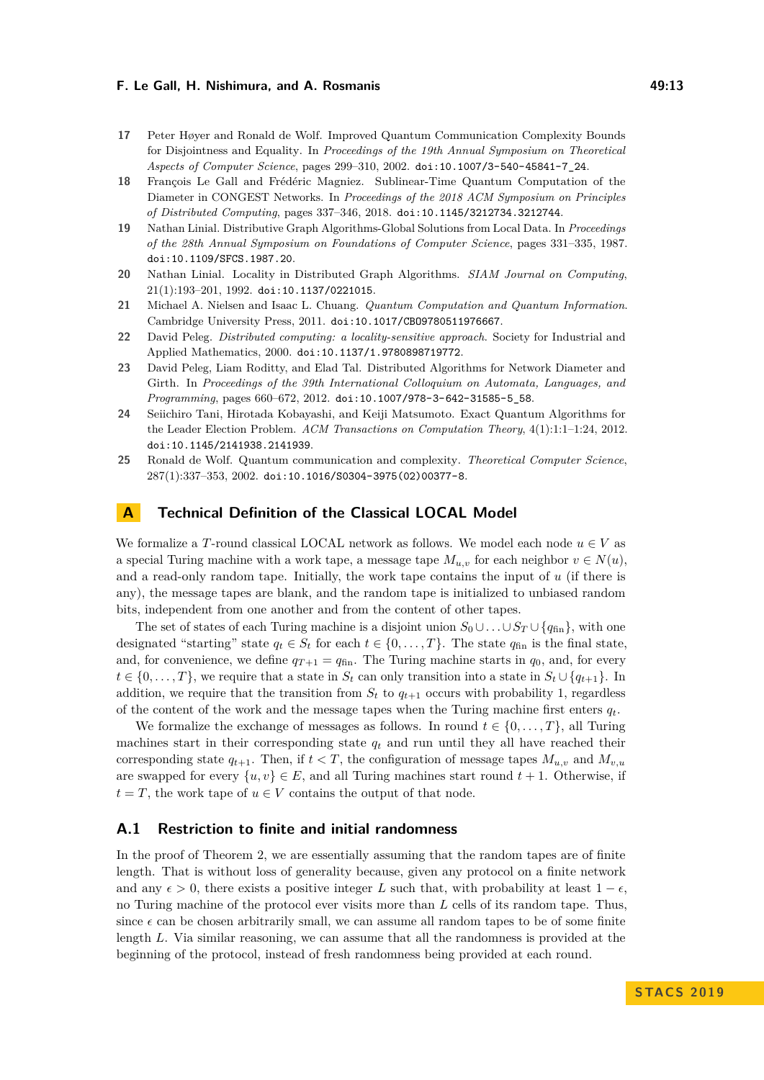- <span id="page-12-5"></span>**17** Peter Høyer and Ronald de Wolf. Improved Quantum Communication Complexity Bounds for Disjointness and Equality. In *Proceedings of the 19th Annual Symposium on Theoretical Aspects of Computer Science*, pages 299–310, 2002. [doi:10.1007/3-540-45841-7\\_24](http://dx.doi.org/10.1007/3-540-45841-7_24).
- <span id="page-12-4"></span>**18** François Le Gall and Frédéric Magniez. Sublinear-Time Quantum Computation of the Diameter in CONGEST Networks. In *Proceedings of the 2018 ACM Symposium on Principles of Distributed Computing*, pages 337–346, 2018. [doi:10.1145/3212734.3212744](http://dx.doi.org/10.1145/3212734.3212744).
- <span id="page-12-0"></span>**19** Nathan Linial. Distributive Graph Algorithms-Global Solutions from Local Data. In *Proceedings of the 28th Annual Symposium on Foundations of Computer Science*, pages 331–335, 1987. [doi:10.1109/SFCS.1987.20](http://dx.doi.org/10.1109/SFCS.1987.20).
- <span id="page-12-1"></span>**20** Nathan Linial. Locality in Distributed Graph Algorithms. *SIAM Journal on Computing*, 21(1):193–201, 1992. [doi:10.1137/0221015](http://dx.doi.org/10.1137/0221015).
- <span id="page-12-8"></span>**21** Michael A. Nielsen and Isaac L. Chuang. *Quantum Computation and Quantum Information*. Cambridge University Press, 2011. [doi:10.1017/CBO9780511976667](http://dx.doi.org/10.1017/CBO9780511976667).
- <span id="page-12-2"></span>**22** David Peleg. *Distributed computing: a locality-sensitive approach*. Society for Industrial and Applied Mathematics, 2000. [doi:10.1137/1.9780898719772](http://dx.doi.org/10.1137/1.9780898719772).
- <span id="page-12-3"></span>**23** David Peleg, Liam Roditty, and Elad Tal. Distributed Algorithms for Network Diameter and Girth. In *Proceedings of the 39th International Colloquium on Automata, Languages, and Programming*, pages 660–672, 2012. [doi:10.1007/978-3-642-31585-5\\_58](http://dx.doi.org/10.1007/978-3-642-31585-5_58).
- <span id="page-12-7"></span>**24** Seiichiro Tani, Hirotada Kobayashi, and Keiji Matsumoto. Exact Quantum Algorithms for the Leader Election Problem. *ACM Transactions on Computation Theory*, 4(1):1:1–1:24, 2012. [doi:10.1145/2141938.2141939](http://dx.doi.org/10.1145/2141938.2141939).
- <span id="page-12-6"></span>**25** Ronald de Wolf. Quantum communication and complexity. *Theoretical Computer Science*, 287(1):337–353, 2002. [doi:10.1016/S0304-3975\(02\)00377-8](http://dx.doi.org/10.1016/S0304-3975(02)00377-8).

## <span id="page-12-9"></span>**A Technical Definition of the Classical LOCAL Model**

We formalize a *T*-round classical LOCAL network as follows. We model each node  $u \in V$  as a special Turing machine with a work tape, a message tape  $M_{u,v}$  for each neighbor  $v \in N(u)$ . and a read-only random tape. Initially, the work tape contains the input of *u* (if there is any), the message tapes are blank, and the random tape is initialized to unbiased random bits, independent from one another and from the content of other tapes.

The set of states of each Turing machine is a disjoint union  $S_0 \cup \ldots \cup S_T \cup \{q_{fin}\}\)$ , with one designated "starting" state  $q_t \in S_t$  for each  $t \in \{0, \ldots, T\}$ . The state  $q_{fin}$  is the final state, and, for convenience, we define  $q_{T+1} = q_{fin}$ . The Turing machine starts in  $q_0$ , and, for every  $t \in \{0, \ldots, T\}$ , we require that a state in  $S_t$  can only transition into a state in  $S_t \cup \{q_{t+1}\}$ . In addition, we require that the transition from  $S_t$  to  $q_{t+1}$  occurs with probability 1, regardless of the content of the work and the message tapes when the Turing machine first enters  $q_t$ .

We formalize the exchange of messages as follows. In round  $t \in \{0, \ldots, T\}$ , all Turing machines start in their corresponding state  $q_t$  and run until they all have reached their corresponding state  $q_{t+1}$ . Then, if  $t < T$ , the configuration of message tapes  $M_{u,v}$  and  $M_{v,u}$ are swapped for every  $\{u, v\} \in E$ , and all Turing machines start round  $t + 1$ . Otherwise, if  $t = T$ , the work tape of  $u \in V$  contains the output of that node.

## <span id="page-12-10"></span>**A.1 Restriction to finite and initial randomness**

In the proof of Theorem [2,](#page-2-1) we are essentially assuming that the random tapes are of finite length. That is without loss of generality because, given any protocol on a finite network and any  $\epsilon > 0$ , there exists a positive integer *L* such that, with probability at least  $1 - \epsilon$ , no Turing machine of the protocol ever visits more than *L* cells of its random tape. Thus, since  $\epsilon$  can be chosen arbitrarily small, we can assume all random tapes to be of some finite length *L*. Via similar reasoning, we can assume that all the randomness is provided at the beginning of the protocol, instead of fresh randomness being provided at each round.